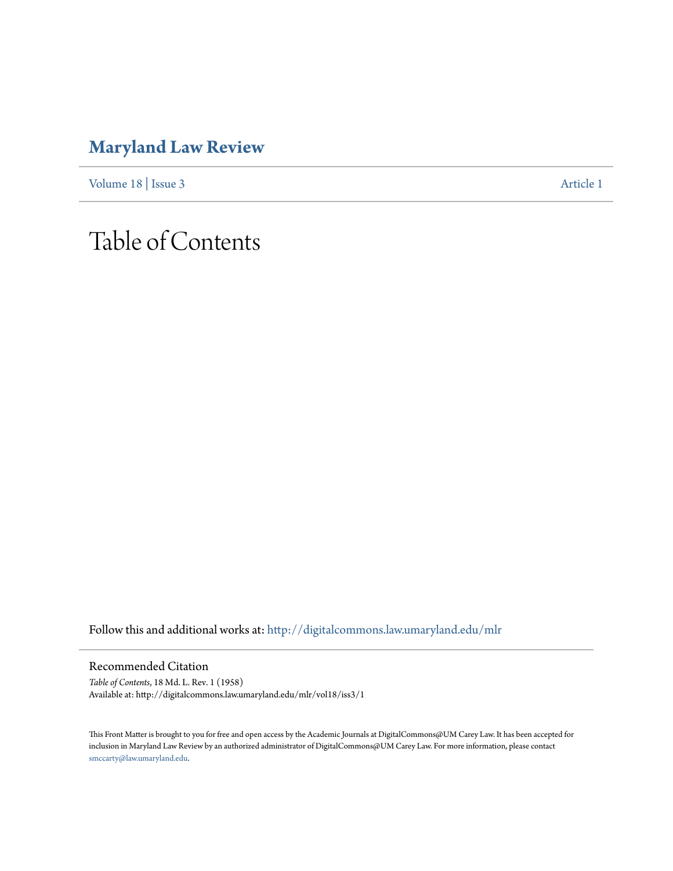## **[Maryland Law Review](http://digitalcommons.law.umaryland.edu/mlr?utm_source=digitalcommons.law.umaryland.edu%2Fmlr%2Fvol18%2Fiss3%2F1&utm_medium=PDF&utm_campaign=PDFCoverPages)**

[Volume 18](http://digitalcommons.law.umaryland.edu/mlr/vol18?utm_source=digitalcommons.law.umaryland.edu%2Fmlr%2Fvol18%2Fiss3%2F1&utm_medium=PDF&utm_campaign=PDFCoverPages) | [Issue 3](http://digitalcommons.law.umaryland.edu/mlr/vol18/iss3?utm_source=digitalcommons.law.umaryland.edu%2Fmlr%2Fvol18%2Fiss3%2F1&utm_medium=PDF&utm_campaign=PDFCoverPages) [Article 1](http://digitalcommons.law.umaryland.edu/mlr/vol18/iss3/1?utm_source=digitalcommons.law.umaryland.edu%2Fmlr%2Fvol18%2Fiss3%2F1&utm_medium=PDF&utm_campaign=PDFCoverPages)

## Table of Contents

Follow this and additional works at: [http://digitalcommons.law.umaryland.edu/mlr](http://digitalcommons.law.umaryland.edu/mlr?utm_source=digitalcommons.law.umaryland.edu%2Fmlr%2Fvol18%2Fiss3%2F1&utm_medium=PDF&utm_campaign=PDFCoverPages)

Recommended Citation

*Table of Contents*, 18 Md. L. Rev. 1 (1958) Available at: http://digitalcommons.law.umaryland.edu/mlr/vol18/iss3/1

This Front Matter is brought to you for free and open access by the Academic Journals at DigitalCommons@UM Carey Law. It has been accepted for inclusion in Maryland Law Review by an authorized administrator of DigitalCommons@UM Carey Law. For more information, please contact [smccarty@law.umaryland.edu.](mailto:smccarty@law.umaryland.edu)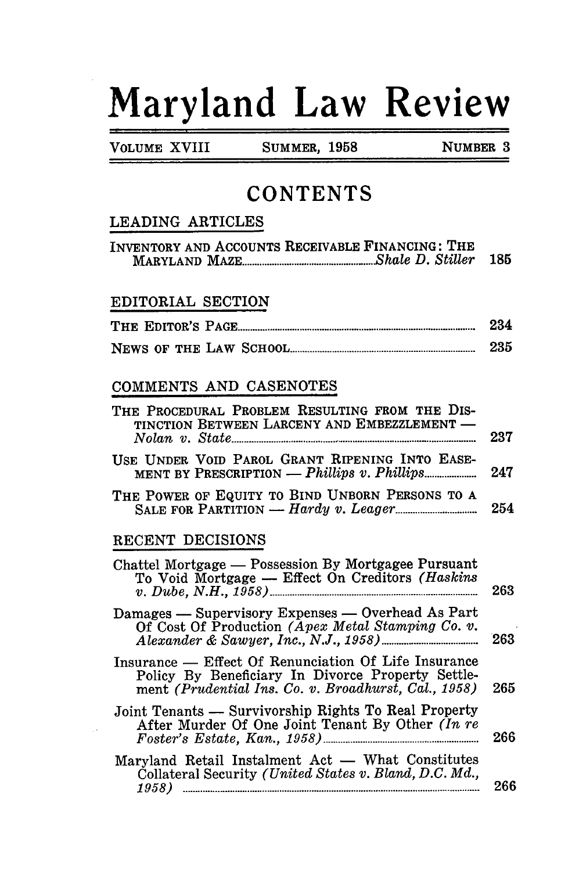# **Maryland Law Review**

**VOLUME XVIII** 

**SUMMER, 1958** 

NUMBER 3

### **CONTENTS**

#### LEADING ARTICLES

| INVENTORY AND ACCOUNTS RECEIVABLE FINANCING: THE |  |     |
|--------------------------------------------------|--|-----|
|                                                  |  | 185 |

#### EDITORIAL SECTION

|  |                        | 234 |
|--|------------------------|-----|
|  | NEWS OF THE LAW SCHOOL |     |

#### COMMENTS AND CASENOTES

| THE PROCEDURAL PROBLEM RESULTING FROM THE DIS-<br>TINCTION BETWEEN LARCENY AND EMBEZZLEMENT -<br>$Nolan$ v. $State$ matrices are all the contract of $Nolan$ v. | 237 |
|-----------------------------------------------------------------------------------------------------------------------------------------------------------------|-----|
| USE UNDER VOID PAROL GRANT RIPENING INTO EASE-                                                                                                                  | 247 |
| THE POWER OF EQUITY TO BIND UNBORN PERSONS TO A                                                                                                                 | 254 |
| RECENT DECISIONS                                                                                                                                                |     |
| Chattel Mortgage — Possession By Mortgagee Pursuant<br>To Void Mortgage - Effect On Creditors (Haskins                                                          | 263 |

| Damages — Supervisory Expenses — Overhead As Part |     |
|---------------------------------------------------|-----|
| Of Cost Of Production (Apex Metal Stamping Co. v. |     |
|                                                   | 263 |

Insurance — Effect Of Renunciation Of Life Insurance Policy By Beneficiary In Divorce Property Settlement (Prudential Ins. Co. v. Broadhurst, Cal., 1958) 265

Joint Tenants — Survivorship Rights To Real Property After Murder Of One Joint Tenant By Other (In re 266

| Maryland Retail Instalment Act — What Constitutes      |     |
|--------------------------------------------------------|-----|
| Collateral Security (United States v. Bland, D.C. Md., |     |
| 1958)                                                  | 266 |